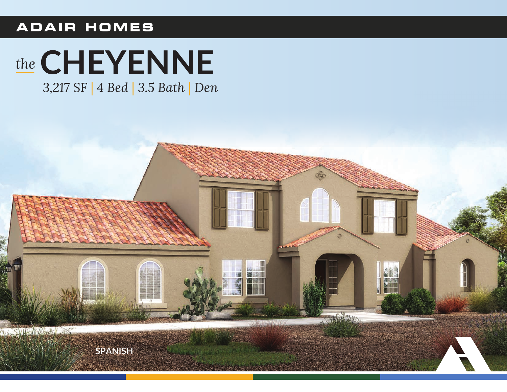## **ADAIR HOMES**

# the CHEYENNE

3,217 SF | 4 Bed | 3.5 Bath | Den